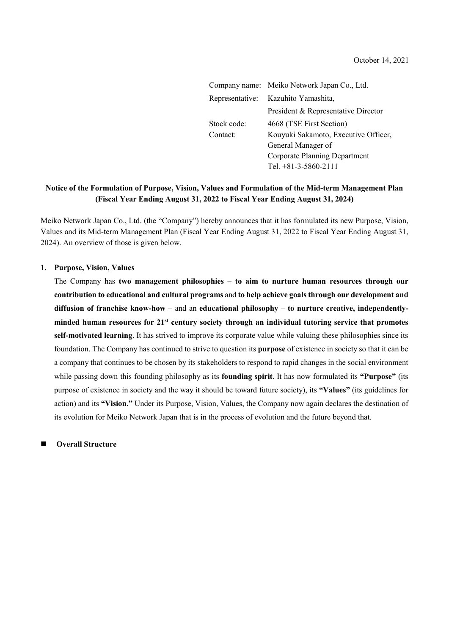|             | Company name: Meiko Network Japan Co., Ltd. |  |
|-------------|---------------------------------------------|--|
|             | Representative: Kazuhito Yamashita,         |  |
|             | President & Representative Director         |  |
| Stock code: | 4668 (TSE First Section)                    |  |
| Contact:    | Kouyuki Sakamoto, Executive Officer,        |  |
|             | General Manager of                          |  |
|             | Corporate Planning Department               |  |
|             | Tel. $+81-3-5860-2111$                      |  |

# **Notice of the Formulation of Purpose, Vision, Values and Formulation of the Mid-term Management Plan (Fiscal Year Ending August 31, 2022 to Fiscal Year Ending August 31, 2024)**

Meiko Network Japan Co., Ltd. (the "Company") hereby announces that it has formulated its new Purpose, Vision, Values and its Mid-term Management Plan (Fiscal Year Ending August 31, 2022 to Fiscal Year Ending August 31, 2024). An overview of those is given below.

#### **1. Purpose, Vision, Values**

The Company has **two management philosophies** – **to aim to nurture human resources through our contribution to educational and cultural programs** and **to help achieve goals through our development and diffusion of franchise know-how** – and an **educational philosophy** – **to nurture creative, independentlyminded human resources for 21st century society through an individual tutoring service that promotes self-motivated learning**. It has strived to improve its corporate value while valuing these philosophies since its foundation. The Company has continued to strive to question its **purpose** of existence in society so that it can be a company that continues to be chosen by its stakeholders to respond to rapid changes in the social environment while passing down this founding philosophy as its **founding spirit**. It has now formulated its **"Purpose"** (its purpose of existence in society and the way it should be toward future society), its **"Values"** (its guidelines for action) and its **"Vision."** Under its Purpose, Vision, Values, the Company now again declares the destination of its evolution for Meiko Network Japan that is in the process of evolution and the future beyond that.

#### **Overall Structure**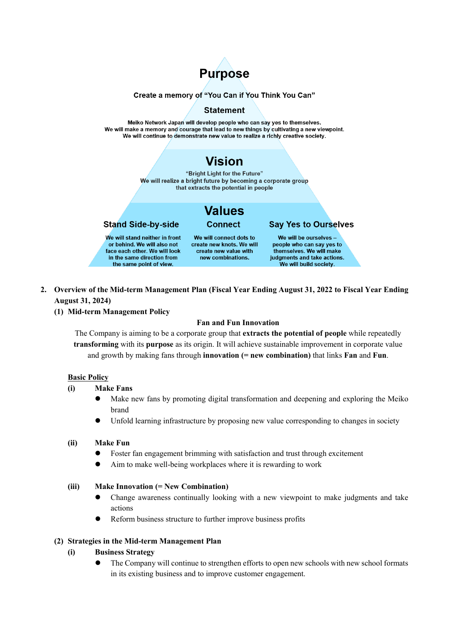

#### Create a memory of "You Can if You Think You Can"

# **Statement**

Meiko Network Japan will develop people who can say yes to themselves. We will make a memory and courage that lead to new things by cultivating a new viewpoint. We will continue to demonstrate new value to realize a richly creative society.

# Vision

"Bright Light for the Future" We will realize a bright future by becoming a corporate group that extracts the potential in people

# /alues **Connect**

# **Stand Side-by-side**

We will stand neither in front or behind. We will also not face each other. We will look in the same direction from the same point of view.

We will connect dots to create new knots. We will create new value with new combinations.

**Say Yes to Ourselves** 

- We will be ourselves people who can say yes to themselves. We will make judgments and take actions. We will build society.
- **2. Overview of the Mid-term Management Plan (Fiscal Year Ending August 31, 2022 to Fiscal Year Ending August 31, 2024)**

#### **(1) Mid-term Management Policy**

# **Fan and Fun Innovation**

The Company is aiming to be a corporate group that **extracts the potential of people** while repeatedly **transforming** with its **purpose** as its origin. It will achieve sustainable improvement in corporate value and growth by making fans through **innovation (= new combination)** that links **Fan** and **Fun**.

# **Basic Policy**

#### **(i) Make Fans**

- Make new fans by promoting digital transformation and deepening and exploring the Meiko brand
- Unfold learning infrastructure by proposing new value corresponding to changes in society

#### **(ii) Make Fun**

- Foster fan engagement brimming with satisfaction and trust through excitement
- Aim to make well-being workplaces where it is rewarding to work

#### **(iii) Make Innovation (= New Combination)**

- Change awareness continually looking with a new viewpoint to make judgments and take actions
- Reform business structure to further improve business profits

# **(2) Strategies in the Mid-term Management Plan**

# **(i) Business Strategy**

 The Company will continue to strengthen efforts to open new schools with new school formats in its existing business and to improve customer engagement.